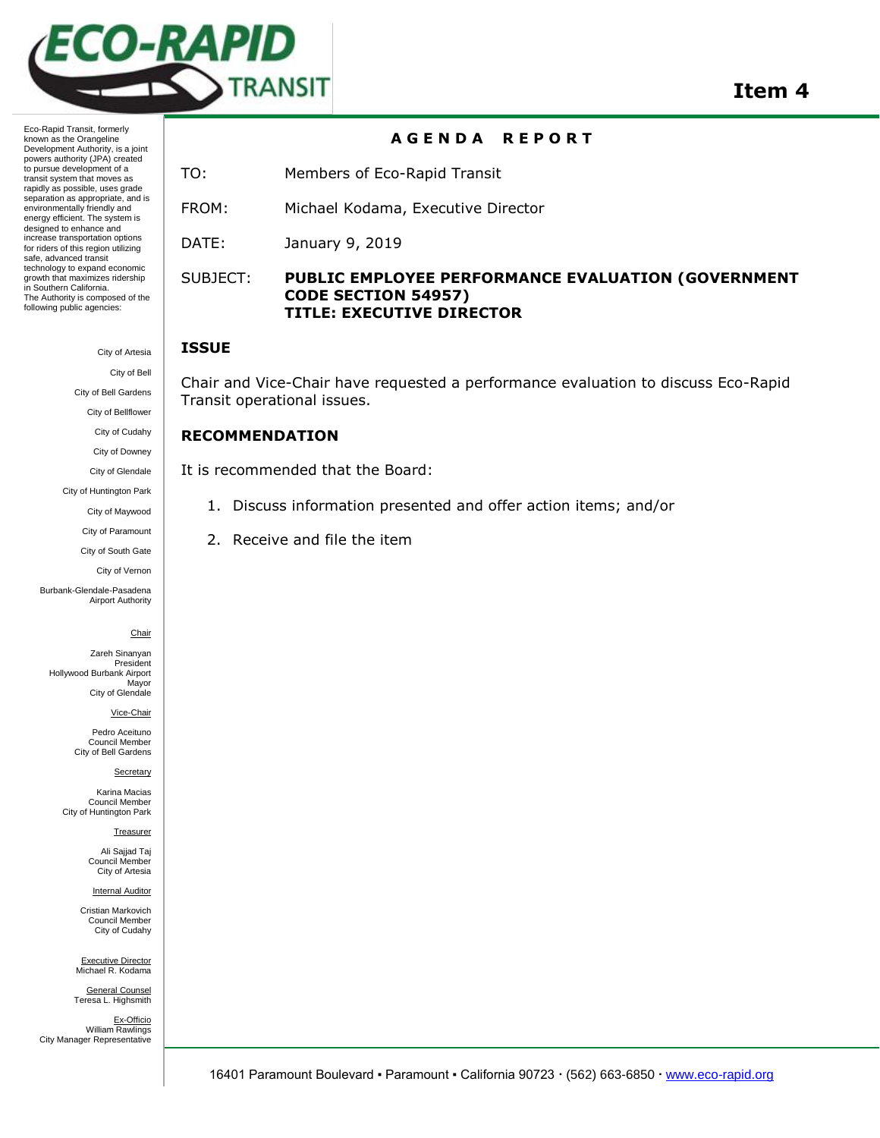

Eco-Rapid Transit, formerly known as the Orangeline Development Authority, is a joint powers authority (JPA) created to pursue development of a transit system that moves as rapidly as possible, uses grade separation as appropriate, and is environmentally friendly and energy efficient. The system is designed to enhance and increase transportation options for riders of this region utilizing safe, advanced transit technology to expand economic growth that maximizes ridership in Southern California. The Authority is composed of the following public agencies:

> City of Artesia City of Bell

> > City of Bell Gardens

City of Bellflower

City of Cudahy

City of Downey

City of Glendale

City of Huntington Park

City of Maywood City of Paramount

City of South Gate

City of Vernon

Burbank-Glendale-Pasadena Airport Authority

**Chair** 

Zareh Sinanyan President Hollywood Burbank Airport Mayor City of Glendale

Vice-Chair

Pedro Aceituno Council Member City of Bell Gardens

**Secretary** 

Karina Macias Council Member City of Huntington Park

Treasurer

Ali Saijad Taj Council Member City of Artesia

Internal Auditor

Cristian Markovich Council Member City of Cudahy

Executive Director Michael R. Kodama General Counsel

Teresa L. Highsmith Ex-Officio William Rawlings City Manager Representative

# **A G E N D A R E P O R T**

TO: Members of Eco-Rapid Transit

FROM: Michael Kodama, Executive Director

DATE: January 9, 2019

## SUBJECT: **PUBLIC EMPLOYEE PERFORMANCE EVALUATION (GOVERNMENT CODE SECTION 54957) TITLE: EXECUTIVE DIRECTOR**

### **ISSUE**

Chair and Vice-Chair have requested a performance evaluation to discuss Eco-Rapid Transit operational issues.

# **RECOMMENDATION**

It is recommended that the Board:

- 1. Discuss information presented and offer action items; and/or
- 2. Receive and file the item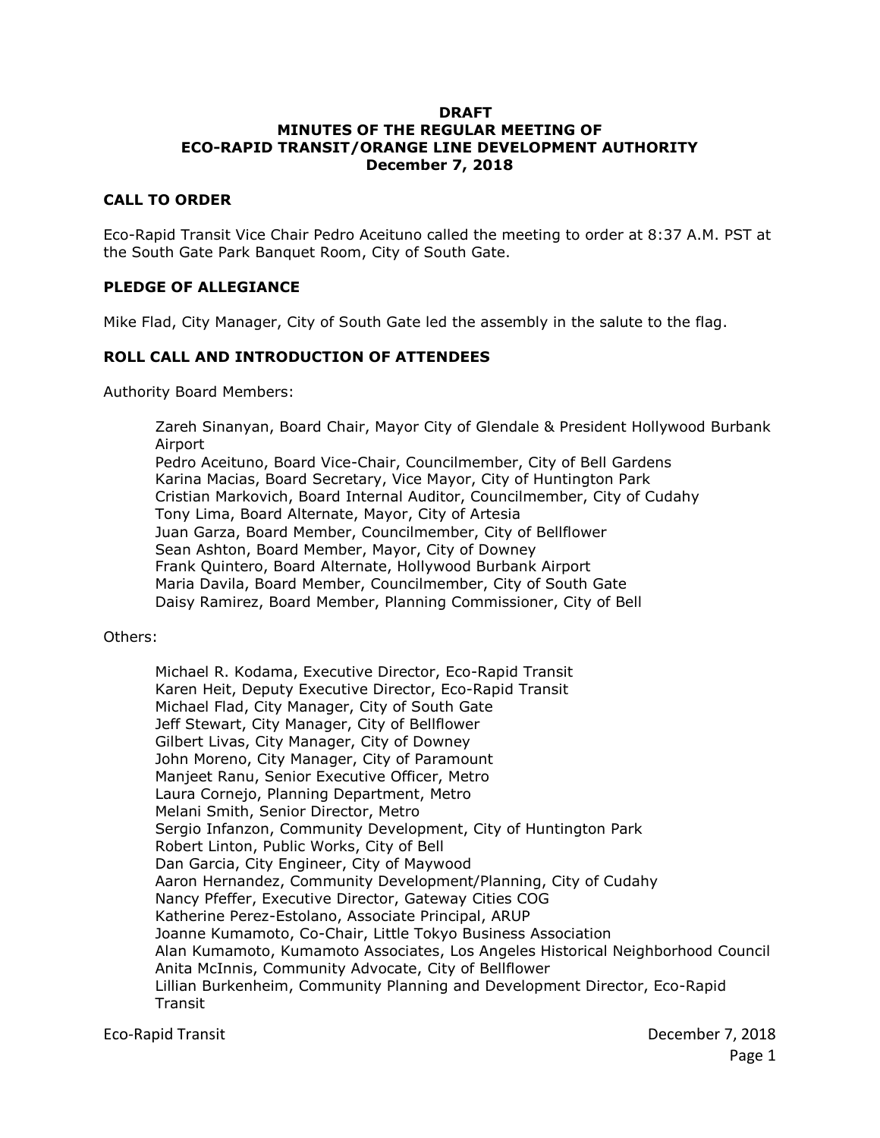#### **DRAFT MINUTES OF THE REGULAR MEETING OF ECO-RAPID TRANSIT/ORANGE LINE DEVELOPMENT AUTHORITY December 7, 2018**

#### **CALL TO ORDER**

Eco-Rapid Transit Vice Chair Pedro Aceituno called the meeting to order at 8:37 A.M. PST at the South Gate Park Banquet Room, City of South Gate.

### **PLEDGE OF ALLEGIANCE**

Mike Flad, City Manager, City of South Gate led the assembly in the salute to the flag.

#### **ROLL CALL AND INTRODUCTION OF ATTENDEES**

Authority Board Members:

Zareh Sinanyan, Board Chair, Mayor City of Glendale & President Hollywood Burbank Airport

Pedro Aceituno, Board Vice-Chair, Councilmember, City of Bell Gardens Karina Macias, Board Secretary, Vice Mayor, City of Huntington Park Cristian Markovich, Board Internal Auditor, Councilmember, City of Cudahy Tony Lima, Board Alternate, Mayor, City of Artesia Juan Garza, Board Member, Councilmember, City of Bellflower Sean Ashton, Board Member, Mayor, City of Downey Frank Quintero, Board Alternate, Hollywood Burbank Airport Maria Davila, Board Member, Councilmember, City of South Gate Daisy Ramirez, Board Member, Planning Commissioner, City of Bell

Others:

Michael R. Kodama, Executive Director, Eco-Rapid Transit Karen Heit, Deputy Executive Director, Eco-Rapid Transit Michael Flad, City Manager, City of South Gate Jeff Stewart, City Manager, City of Bellflower Gilbert Livas, City Manager, City of Downey John Moreno, City Manager, City of Paramount Manjeet Ranu, Senior Executive Officer, Metro Laura Cornejo, Planning Department, Metro Melani Smith, Senior Director, Metro Sergio Infanzon, Community Development, City of Huntington Park Robert Linton, Public Works, City of Bell Dan Garcia, City Engineer, City of Maywood Aaron Hernandez, Community Development/Planning, City of Cudahy Nancy Pfeffer, Executive Director, Gateway Cities COG Katherine Perez-Estolano, Associate Principal, ARUP Joanne Kumamoto, Co-Chair, Little Tokyo Business Association Alan Kumamoto, Kumamoto Associates, Los Angeles Historical Neighborhood Council Anita McInnis, Community Advocate, City of Bellflower Lillian Burkenheim, Community Planning and Development Director, Eco-Rapid Transit

Eco-Rapid Transit December 7, 2018 Page 1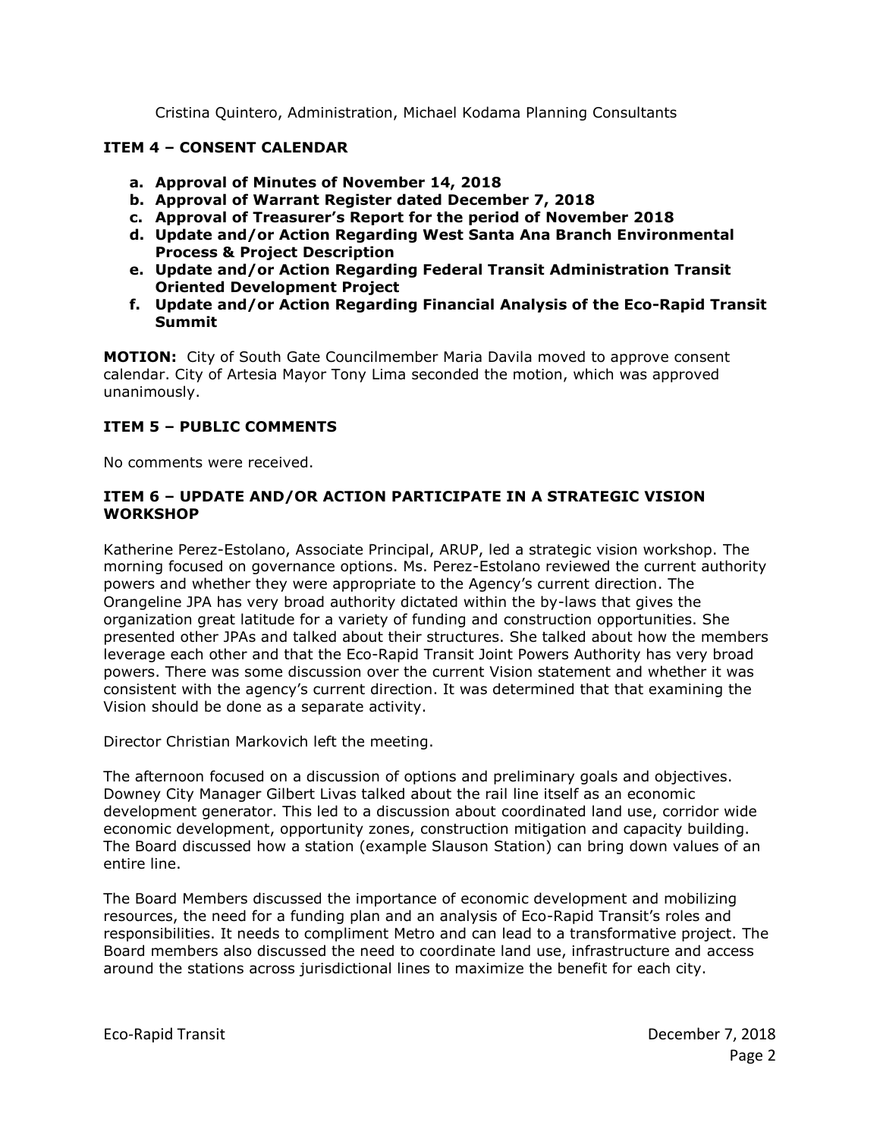Cristina Quintero, Administration, Michael Kodama Planning Consultants

# **ITEM 4 – CONSENT CALENDAR**

- **a. Approval of Minutes of November 14, 2018**
- **b. Approval of Warrant Register dated December 7, 2018**
- **c. Approval of Treasurer's Report for the period of November 2018**
- **d. Update and/or Action Regarding West Santa Ana Branch Environmental Process & Project Description**
- **e. Update and/or Action Regarding Federal Transit Administration Transit Oriented Development Project**
- **f. Update and/or Action Regarding Financial Analysis of the Eco-Rapid Transit Summit**

**MOTION:** City of South Gate Councilmember Maria Davila moved to approve consent calendar. City of Artesia Mayor Tony Lima seconded the motion, which was approved unanimously.

## **ITEM 5 – PUBLIC COMMENTS**

No comments were received.

#### **ITEM 6 – UPDATE AND/OR ACTION PARTICIPATE IN A STRATEGIC VISION WORKSHOP**

Katherine Perez-Estolano, Associate Principal, ARUP, led a strategic vision workshop. The morning focused on governance options. Ms. Perez-Estolano reviewed the current authority powers and whether they were appropriate to the Agency's current direction. The Orangeline JPA has very broad authority dictated within the by-laws that gives the organization great latitude for a variety of funding and construction opportunities. She presented other JPAs and talked about their structures. She talked about how the members leverage each other and that the Eco-Rapid Transit Joint Powers Authority has very broad powers. There was some discussion over the current Vision statement and whether it was consistent with the agency's current direction. It was determined that that examining the Vision should be done as a separate activity.

Director Christian Markovich left the meeting.

The afternoon focused on a discussion of options and preliminary goals and objectives. Downey City Manager Gilbert Livas talked about the rail line itself as an economic development generator. This led to a discussion about coordinated land use, corridor wide economic development, opportunity zones, construction mitigation and capacity building. The Board discussed how a station (example Slauson Station) can bring down values of an entire line.

The Board Members discussed the importance of economic development and mobilizing resources, the need for a funding plan and an analysis of Eco-Rapid Transit's roles and responsibilities. It needs to compliment Metro and can lead to a transformative project. The Board members also discussed the need to coordinate land use, infrastructure and access around the stations across jurisdictional lines to maximize the benefit for each city.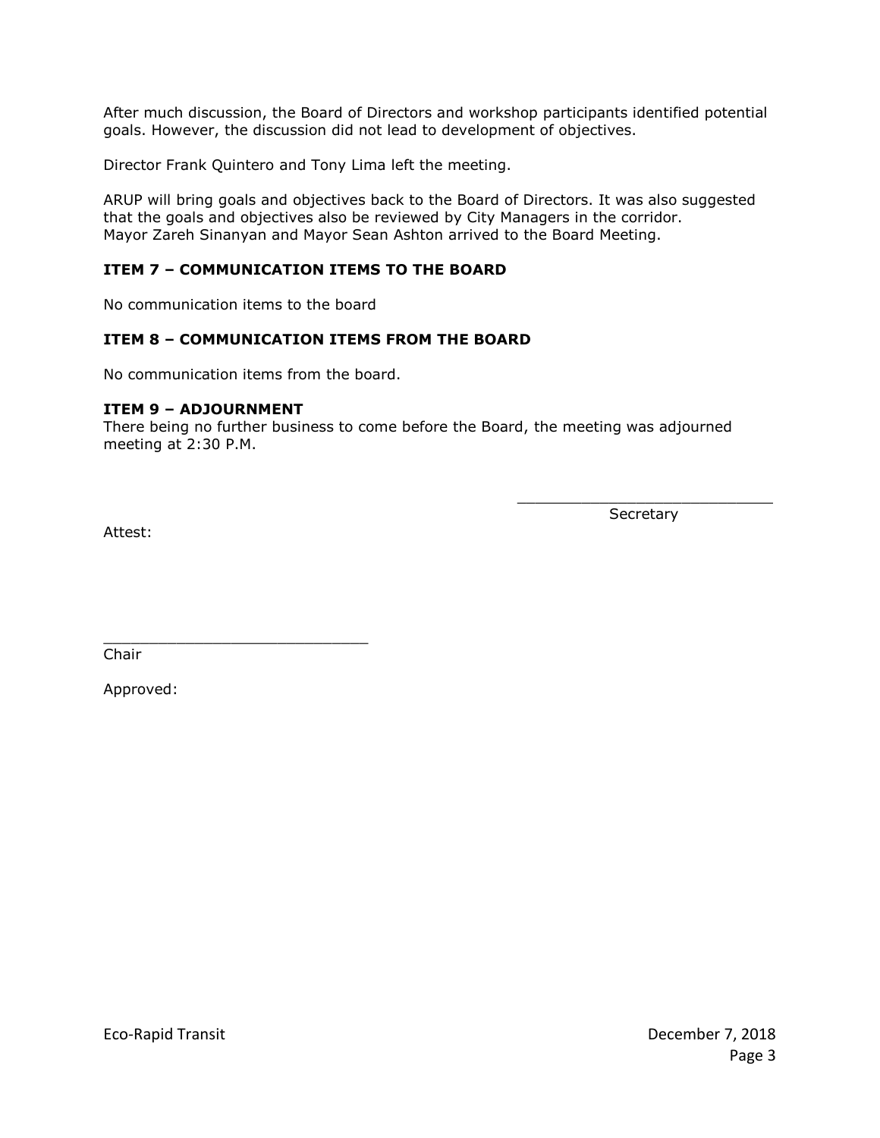After much discussion, the Board of Directors and workshop participants identified potential goals. However, the discussion did not lead to development of objectives.

Director Frank Quintero and Tony Lima left the meeting.

ARUP will bring goals and objectives back to the Board of Directors. It was also suggested that the goals and objectives also be reviewed by City Managers in the corridor. Mayor Zareh Sinanyan and Mayor Sean Ashton arrived to the Board Meeting.

# **ITEM 7 – COMMUNICATION ITEMS TO THE BOARD**

No communication items to the board

\_\_\_\_\_\_\_\_\_\_\_\_\_\_\_\_\_\_\_\_\_\_\_\_\_\_\_\_\_

## **ITEM 8 – COMMUNICATION ITEMS FROM THE BOARD**

No communication items from the board.

#### **ITEM 9 – ADJOURNMENT**

There being no further business to come before the Board, the meeting was adjourned meeting at 2:30 P.M.

> \_\_\_\_\_\_\_\_\_\_\_\_\_\_\_\_\_\_\_\_\_\_\_\_\_\_\_\_ Secretary

Attest:

Chair

Approved: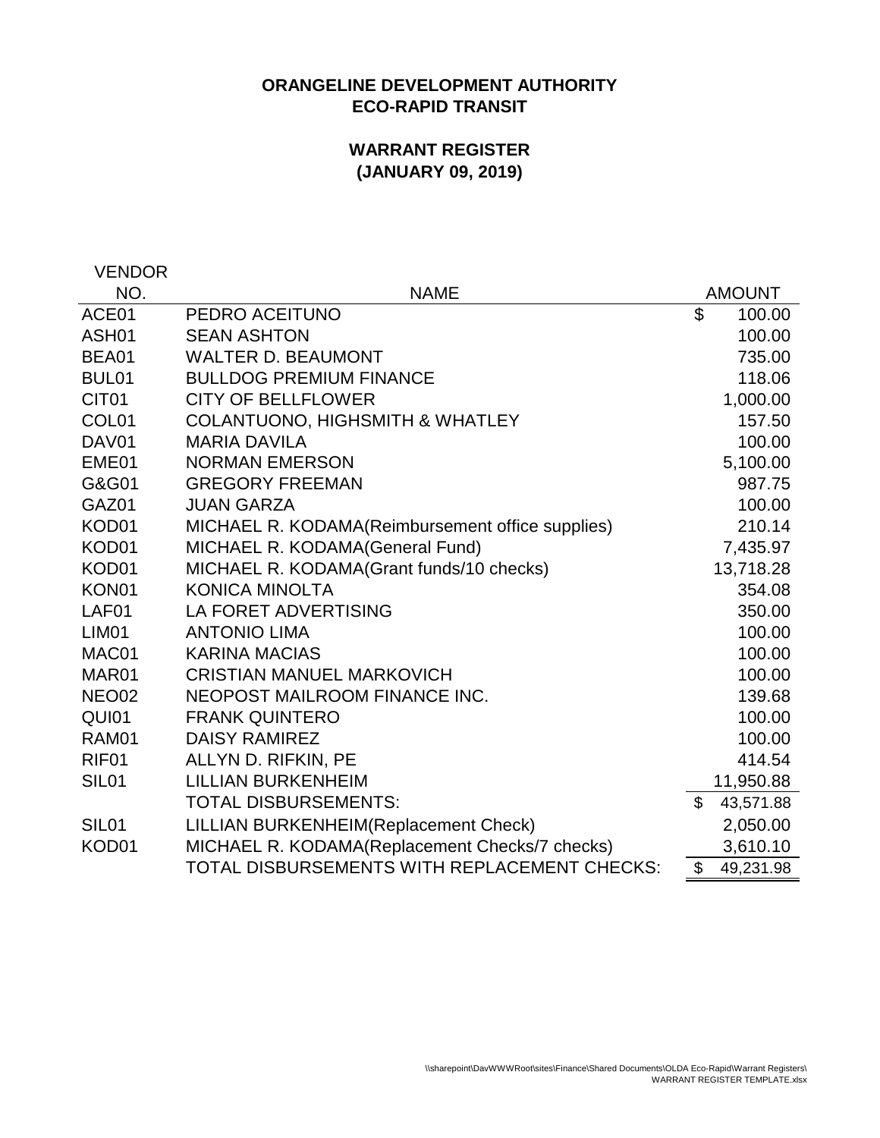# **ORANGELINE DEVELOPMENT AUTHORITY ECO-RAPID TRANSIT**

# **WARRANT REGISTER (JANUARY 09, 2019)**

VENDOR

| NO.               | <b>NAME</b>                                      |                | <b>AMOUNT</b> |
|-------------------|--------------------------------------------------|----------------|---------------|
| ACE01             | PEDRO ACEITUNO                                   | \$             | 100.00        |
| ASH <sub>01</sub> | <b>SEAN ASHTON</b>                               |                | 100.00        |
| BEA01             | <b>WALTER D. BEAUMONT</b>                        |                | 735.00        |
| BUL <sub>01</sub> | <b>BULLDOG PREMIUM FINANCE</b>                   |                | 118.06        |
| CIT <sub>01</sub> | <b>CITY OF BELLFLOWER</b>                        |                | 1,000.00      |
| COL <sub>01</sub> | <b>COLANTUONO, HIGHSMITH &amp; WHATLEY</b>       |                | 157.50        |
| DAV01             | <b>MARIA DAVILA</b>                              |                | 100.00        |
| EME01             | <b>NORMAN EMERSON</b>                            |                | 5,100.00      |
| G&G01             | <b>GREGORY FREEMAN</b>                           |                | 987.75        |
| GAZ01             | <b>JUAN GARZA</b>                                |                | 100.00        |
| KOD01             | MICHAEL R. KODAMA(Reimbursement office supplies) |                | 210.14        |
| KOD01             | MICHAEL R. KODAMA(General Fund)                  |                | 7,435.97      |
| KOD01             | MICHAEL R. KODAMA(Grant funds/10 checks)         |                | 13,718.28     |
| KON <sub>01</sub> | <b>KONICA MINOLTA</b>                            |                | 354.08        |
| LAF01             | <b>LA FORET ADVERTISING</b>                      |                | 350.00        |
| LIM <sub>01</sub> | <b>ANTONIO LIMA</b>                              |                | 100.00        |
| MAC01             | <b>KARINA MACIAS</b>                             |                | 100.00        |
| MAR01             | <b>CRISTIAN MANUEL MARKOVICH</b>                 |                | 100.00        |
| NEO <sub>02</sub> | NEOPOST MAILROOM FINANCE INC.                    |                | 139.68        |
| QUI01             | <b>FRANK QUINTERO</b>                            |                | 100.00        |
| RAM01             | <b>DAISY RAMIREZ</b>                             |                | 100.00        |
| RIF <sub>01</sub> | ALLYN D. RIFKIN, PE                              |                | 414.54        |
| SIL <sub>01</sub> | <b>LILLIAN BURKENHEIM</b>                        |                | 11,950.88     |
|                   | <b>TOTAL DISBURSEMENTS:</b>                      | $\mathfrak{L}$ | 43,571.88     |
| SIL <sub>01</sub> | LILLIAN BURKENHEIM(Replacement Check)            |                | 2,050.00      |
| KOD01             | MICHAEL R. KODAMA(Replacement Checks/7 checks)   |                | 3,610.10      |
|                   | TOTAL DISBURSEMENTS WITH REPLACEMENT CHECKS:     | \$             | 49,231.98     |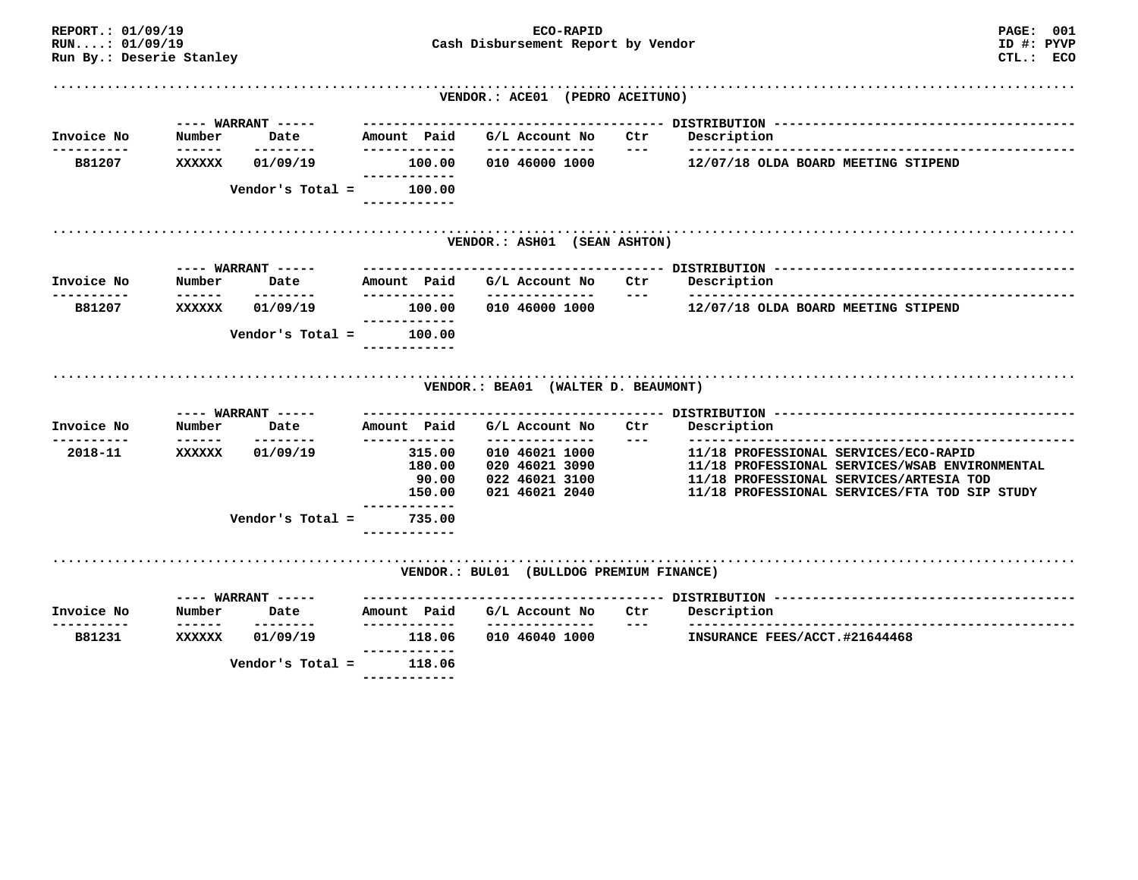| REPORT.: 01/09/19<br>RUN:: 01/09/19<br>Run By.: Deserie Stanley |        |                             |                                                     | ECO-RAPID<br>Cash Disbursement Report by Vendor                                        |       | <b>PAGE: 001</b><br>ID #: PYVP<br>CTL.: ECO                                                                                                                                         |
|-----------------------------------------------------------------|--------|-----------------------------|-----------------------------------------------------|----------------------------------------------------------------------------------------|-------|-------------------------------------------------------------------------------------------------------------------------------------------------------------------------------------|
|                                                                 |        |                             |                                                     | VENDOR.: ACE01 (PEDRO ACEITUNO)                                                        |       |                                                                                                                                                                                     |
| Invoice No                                                      | Number | $---$ WARRANT $---$<br>Date | Amount Paid                                         | G/L Account No Ctr                                                                     |       | Description                                                                                                                                                                         |
| -----------<br>B81207                                           | XXXXXX | --------<br>01/09/19        | ------------                                        | --------------<br>100.00 010 46000 1000                                                | $---$ | 12/07/18 OLDA BOARD MEETING STIPEND                                                                                                                                                 |
|                                                                 |        | Vendor's Total $=$          | ----------<br>100.00                                |                                                                                        |       |                                                                                                                                                                                     |
|                                                                 |        |                             |                                                     | VENDOR.: ASH01 (SEAN ASHTON)                                                           |       |                                                                                                                                                                                     |
| Invoice No                                                      | Number | $---$ WARRANT $---$<br>Date | Amount Paid                                         | G/L Account No                                                                         | Ctr   | Description                                                                                                                                                                         |
| ---------<br>B81207                                             | XXXXXX | ---------<br>01/09/19       | -------------<br>100.00<br>------------             | ---------------<br>010 46000 1000                                                      | $---$ | 12/07/18 OLDA BOARD MEETING STIPEND                                                                                                                                                 |
|                                                                 |        | Vendor's Total =            | 100.00<br>------------                              |                                                                                        |       |                                                                                                                                                                                     |
|                                                                 |        |                             |                                                     | VENDOR.: BEA01 (WALTER D. BEAUMONT)                                                    |       |                                                                                                                                                                                     |
|                                                                 |        | ---- WARRANT -----          |                                                     |                                                                                        |       |                                                                                                                                                                                     |
| Invoice No                                                      | Number | Date                        | Amount Paid                                         | G/L Account No                                                                         | Ctr   | Description                                                                                                                                                                         |
| ---------<br>2018-11                                            | XXXXXX | --------<br>01/09/19        | ------------<br>315.00<br>180.00<br>90.00<br>150.00 | --------------<br>010 46021 1000<br>020 46021 3090<br>022 46021 3100<br>021 46021 2040 | $---$ | 11/18 PROFESSIONAL SERVICES/ECO-RAPID<br>11/18 PROFESSIONAL SERVICES/WSAB ENVIRONMENTAL<br>11/18 PROFESSIONAL SERVICES/ARTESIA TOD<br>11/18 PROFESSIONAL SERVICES/FTA TOD SIP STUDY |
|                                                                 |        | Vendor's Total $=$          | -----------<br>735.00                               |                                                                                        |       |                                                                                                                                                                                     |
|                                                                 |        |                             |                                                     | VENDOR.: BUL01 (BULLDOG PREMIUM FINANCE)                                               |       |                                                                                                                                                                                     |
| Invoice No                                                      | Number | $---$ WARRANT $---$<br>Date | Amount Paid                                         | G/L Account No                                                                         | Ctr   | Description                                                                                                                                                                         |
| ---------<br>B81231                                             | XXXXXX | ---------<br>01/09/19       | -------------<br>118.06<br>------------             | ---------------<br>010 46040 1000                                                      | $---$ | --------------<br>INSURANCE FEES/ACCT.#21644468                                                                                                                                     |
|                                                                 |        | Vendor's Total =            | 118.06                                              |                                                                                        |       |                                                                                                                                                                                     |

 **------------**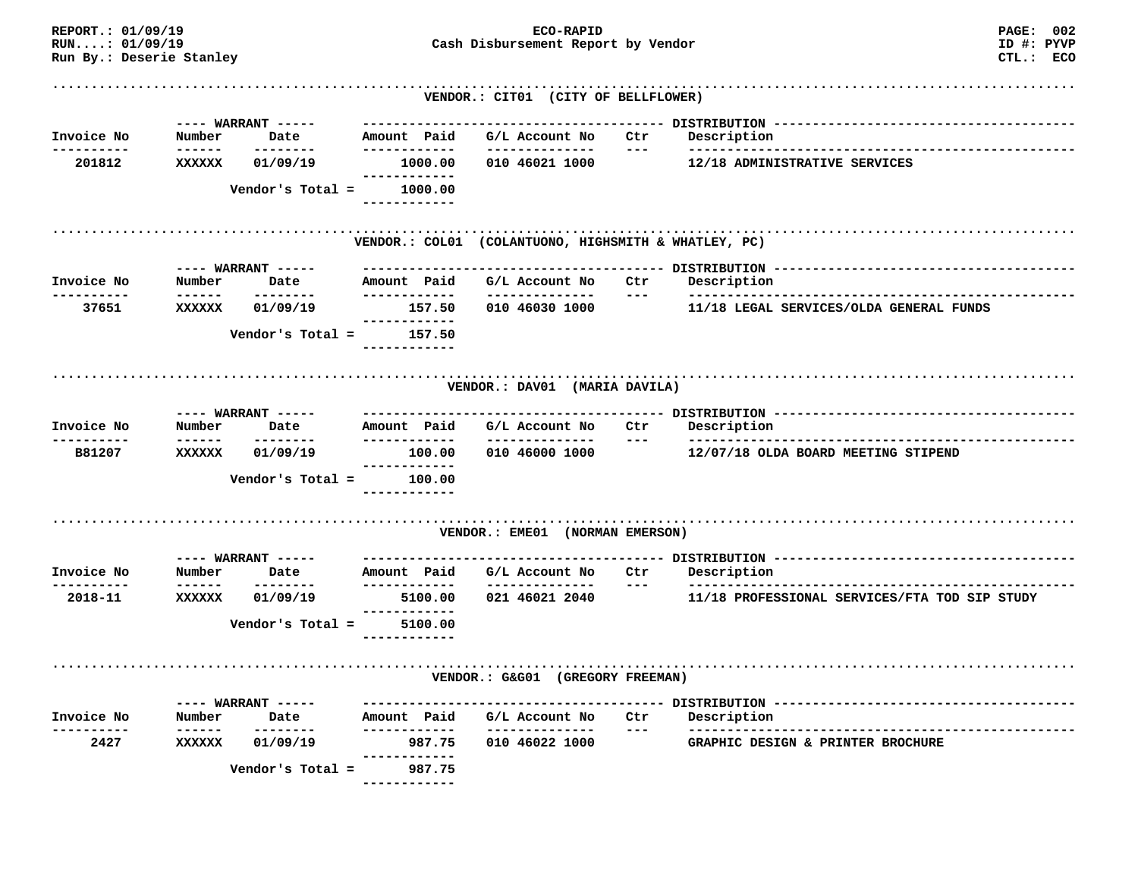| REPORT.: 01/09/19<br>RUN:: 01/09/19<br>Run By.: Deserie Stanley |                         |                     |                              | ECO-RAPID<br>Cash Disbursement Report by Vendor | <b>PAGE: 002</b><br>ID #: PYVP<br>CTL.: ECO          |              |                                               |  |
|-----------------------------------------------------------------|-------------------------|---------------------|------------------------------|-------------------------------------------------|------------------------------------------------------|--------------|-----------------------------------------------|--|
|                                                                 |                         |                     |                              |                                                 | VENDOR.: CIT01 (CITY OF BELLFLOWER)                  |              |                                               |  |
|                                                                 |                         | ---- WARRANT -----  |                              |                                                 |                                                      |              |                                               |  |
| Invoice No<br>--------                                          | Number<br>------        | Date<br>--------    | Amount Paid<br>------------  |                                                 | G/L Account No<br>--------------                     | Ctr<br>$---$ | Description                                   |  |
| 201812                                                          | XXXXXX                  | 01/09/19            | ------------                 | 1000.00                                         | 010 46021 1000                                       |              | 12/18 ADMINISTRATIVE SERVICES                 |  |
|                                                                 |                         | Vendor's Total =    |                              | 1000.00                                         |                                                      |              |                                               |  |
|                                                                 |                         |                     |                              |                                                 | VENDOR.: COL01 (COLANTUONO, HIGHSMITH & WHATLEY, PC) |              |                                               |  |
|                                                                 |                         | ---- WARRANT -----  |                              |                                                 |                                                      |              |                                               |  |
| Invoice No<br>---------                                         | Number<br>------        | Date<br>--------    | Amount Paid<br>------------- |                                                 | G/L Account No<br>---------------                    | Ctr<br>$---$ | Description                                   |  |
| 37651                                                           | <b>XXXXXX</b>           | 01/09/19            |                              | 157.50                                          | 010 46030 1000                                       |              | 11/18 LEGAL SERVICES/OLDA GENERAL FUNDS       |  |
|                                                                 |                         | Vendor's Total $=$  | ------------                 | 157.50                                          |                                                      |              |                                               |  |
|                                                                 |                         | ---- WARRANT -----  |                              |                                                 | VENDOR.: DAV01 (MARIA DAVILA)                        |              |                                               |  |
| Invoice No                                                      | Number<br>------        | Date<br>--------    | Amount Paid<br>------------- |                                                 | G/L Account No<br>--------------                     | Ctr<br>$---$ | Description                                   |  |
| B81207                                                          | XXXXXX                  | 01/09/19            | -------------                | 100.00                                          | 010 46000 1000                                       |              | 12/07/18 OLDA BOARD MEETING STIPEND           |  |
|                                                                 |                         | Vendor's Total =    | ------------                 | 100.00                                          |                                                      |              |                                               |  |
|                                                                 |                         |                     |                              |                                                 | VENDOR.: EME01 (NORMAN EMERSON)                      |              |                                               |  |
|                                                                 |                         | $---$ WARRANT $---$ |                              |                                                 |                                                      |              |                                               |  |
| Invoice No<br>----------                                        | Number<br>------        | Date<br>--------    | Amount Paid<br>------------- |                                                 | G/L Account No<br>---------------                    | Ctr<br>$---$ | Description                                   |  |
| 2018-11                                                         | <b>XXXXXX</b>           | 01/09/19            | ------------                 | 5100.00                                         | 021 46021 2040                                       |              | 11/18 PROFESSIONAL SERVICES/FTA TOD SIP STUDY |  |
|                                                                 |                         | Vendor's Total $=$  |                              | 5100.00                                         |                                                      |              |                                               |  |
|                                                                 |                         |                     |                              |                                                 | VENDOR.: G&G01 (GREGORY FREEMAN)                     |              |                                               |  |
|                                                                 |                         | $---$ WARRANT $---$ |                              |                                                 |                                                      |              |                                               |  |
| Invoice No                                                      | Number<br>$- - - - - -$ | Date<br>--------    | Amount Paid<br>------------  |                                                 | G/L Account No<br>------------                       | Ctr<br>$---$ | Description                                   |  |
| 2427                                                            | XXXXXX                  | 01/09/19            | ------------                 | 987.75                                          | 010 46022 1000                                       |              | GRAPHIC DESIGN & PRINTER BROCHURE             |  |
|                                                                 |                         | Vendor's Total =    |                              | 987.75<br>---------                             |                                                      |              |                                               |  |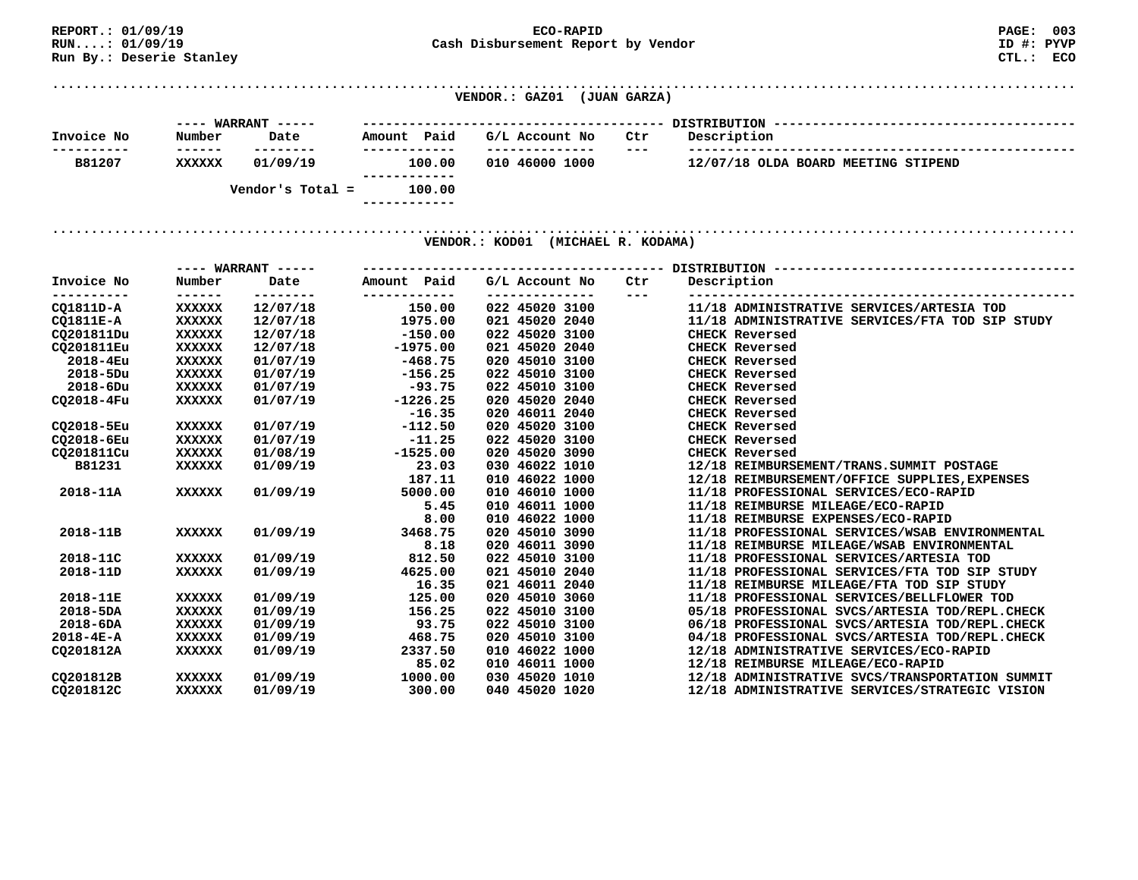**Run By.: Deserie Stanley** 

**REPORT.: 01/09/19 ECO-RAPID PAGE: 003 RUN....: 01/09/19 Cash Disbursement Report by Vendor** 

ID #: PYVP CTL.: ECO

**.................................................................................................................................... VENDOR.: GAZ01 (JUAN GARZA)** 

|            |        | ---- WARRANT ----- |              |        |                |         | DISTRIBUTION                        |  |  |  |
|------------|--------|--------------------|--------------|--------|----------------|---------|-------------------------------------|--|--|--|
| Invoice No | Number | Date               | Amount       | Paid   | G/L Account No | Ctr     | Description                         |  |  |  |
|            | ------ | .                  |              |        |                | $- - -$ |                                     |  |  |  |
| B81207     | xxxxxx | 01/09/19           |              | 100.00 | 010 46000 1000 |         | 12/07/18 OLDA BOARD MEETING STIPEND |  |  |  |
|            |        |                    |              |        |                |         |                                     |  |  |  |
|            |        | Vendor's Total =   |              | 100.00 |                |         |                                     |  |  |  |
|            |        |                    | ------------ |        |                |         |                                     |  |  |  |

**.................................................................................................................................... VENDOR.: KOD01 (MICHAEL R. KODAMA)** 

|                 |               | $---$ WARRANT $---$ |                             |                |                                                 |
|-----------------|---------------|---------------------|-----------------------------|----------------|-------------------------------------------------|
| Invoice No      | Number        | Date<br>--------    | Amount Paid<br>------------ | G/L Account No | Description<br>Ctr<br>$\frac{1}{2}$             |
| CQ1811D-A       | <b>XXXXXX</b> | 12/07/18            | 150.00                      | 022 45020 3100 | 11/18 ADMINISTRATIVE SERVICES/ARTESIA TOD       |
| CO1811E-A       | <b>XXXXXX</b> | 12/07/18            | 1975.00                     | 021 45020 2040 | 11/18 ADMINISTRATIVE SERVICES/FTA TOD SIP STUDY |
| CQ201811Du      | <b>XXXXXX</b> | 12/07/18            | $-150.00$                   | 022 45020 3100 | <b>CHECK Reversed</b>                           |
| CO201811Eu      | <b>XXXXXX</b> | 12/07/18            | $-1975.00$                  | 021 45020 2040 | <b>CHECK Reversed</b>                           |
| 2018-4Eu        | <b>XXXXXX</b> | 01/07/19            | $-468.75$                   | 020 45010 3100 | <b>CHECK Reversed</b>                           |
| 2018-5Du        | <b>XXXXXX</b> | 01/07/19            | $-156.25$                   | 022 45010 3100 | <b>CHECK Reversed</b>                           |
| 2018-6Du        | XXXXXX        | 01/07/19            | $-93.75$                    | 022 45010 3100 | <b>CHECK Reversed</b>                           |
| CO2018-4Fu      | <b>XXXXXX</b> | 01/07/19            | $-1226.25$                  | 020 45020 2040 | <b>CHECK Reversed</b>                           |
|                 |               |                     | $-16.35$                    | 020 46011 2040 | <b>CHECK Reversed</b>                           |
| CQ2018-5Eu      | <b>XXXXXX</b> | 01/07/19            | $-112.50$                   | 020 45020 3100 | <b>CHECK Reversed</b>                           |
| CO2018-6Eu      | XXXXXX        | 01/07/19            | $-11.25$                    | 022 45020 3100 | <b>CHECK Reversed</b>                           |
| CQ201811Cu      | <b>XXXXXX</b> | 01/08/19            | $-1525.00$                  | 020 45020 3090 | <b>CHECK Reversed</b>                           |
| B81231          | <b>XXXXXX</b> | 01/09/19            | 23.03                       | 030 46022 1010 | 12/18 REIMBURSEMENT/TRANS.SUMMIT POSTAGE        |
|                 |               |                     | 187.11                      | 010 46022 1000 | 12/18 REIMBURSEMENT/OFFICE SUPPLIES, EXPENSES   |
| 2018-11A        | <b>XXXXXX</b> | 01/09/19            | 5000.00                     | 010 46010 1000 | 11/18 PROFESSIONAL SERVICES/ECO-RAPID           |
|                 |               |                     | 5.45                        | 010 46011 1000 | 11/18 REIMBURSE MILEAGE/ECO-RAPID               |
|                 |               |                     | 8.00                        | 010 46022 1000 | 11/18 REIMBURSE EXPENSES/ECO-RAPID              |
| 2018-11B        | <b>XXXXXX</b> | 01/09/19            | 3468.75                     | 020 45010 3090 | 11/18 PROFESSIONAL SERVICES/WSAB ENVIRONMENTAL  |
|                 |               |                     | 8.18                        | 020 46011 3090 | 11/18 REIMBURSE MILEAGE/WSAB ENVIRONMENTAL      |
| 2018-11C        | xxxxxx        | 01/09/19            | 812.50                      | 022 45010 3100 | 11/18 PROFESSIONAL SERVICES/ARTESIA TOD         |
| 2018-11D        | XXXXXX        | 01/09/19            | 4625.00                     | 021 45010 2040 | 11/18 PROFESSIONAL SERVICES/FTA TOD SIP STUDY   |
|                 |               |                     | 16.35                       | 021 46011 2040 | 11/18 REIMBURSE MILEAGE/FTA TOD SIP STUDY       |
| 2018-11E        | <b>XXXXXX</b> | 01/09/19            | 125.00                      | 020 45010 3060 | 11/18 PROFESSIONAL SERVICES/BELLFLOWER TOD      |
| $2018 - 5DA$    | <b>XXXXXX</b> | 01/09/19            | 156.25                      | 022 45010 3100 | 05/18 PROFESSIONAL SVCS/ARTESIA TOD/REPL.CHECK  |
| $2018 - 6DA$    | <b>XXXXXX</b> | 01/09/19            | 93.75                       | 022 45010 3100 | 06/18 PROFESSIONAL SVCS/ARTESIA TOD/REPL.CHECK  |
| $2018 - 4E - A$ | <b>XXXXXX</b> | 01/09/19            | 468.75                      | 020 45010 3100 | 04/18 PROFESSIONAL SVCS/ARTESIA TOD/REPL.CHECK  |
| CO201812A       | XXXXXX        | 01/09/19            | 2337.50                     | 010 46022 1000 | 12/18 ADMINISTRATIVE SERVICES/ECO-RAPID         |
|                 |               |                     | 85.02                       | 010 46011 1000 | 12/18 REIMBURSE MILEAGE/ECO-RAPID               |
| CO201812B       | <b>XXXXXX</b> | 01/09/19            | 1000.00                     | 030 45020 1010 | 12/18 ADMINISTRATIVE SVCS/TRANSPORTATION SUMMIT |
| CO201812C       | <b>XXXXXX</b> | 01/09/19            | 300.00                      | 040 45020 1020 | 12/18 ADMINISTRATIVE SERVICES/STRATEGIC VISION  |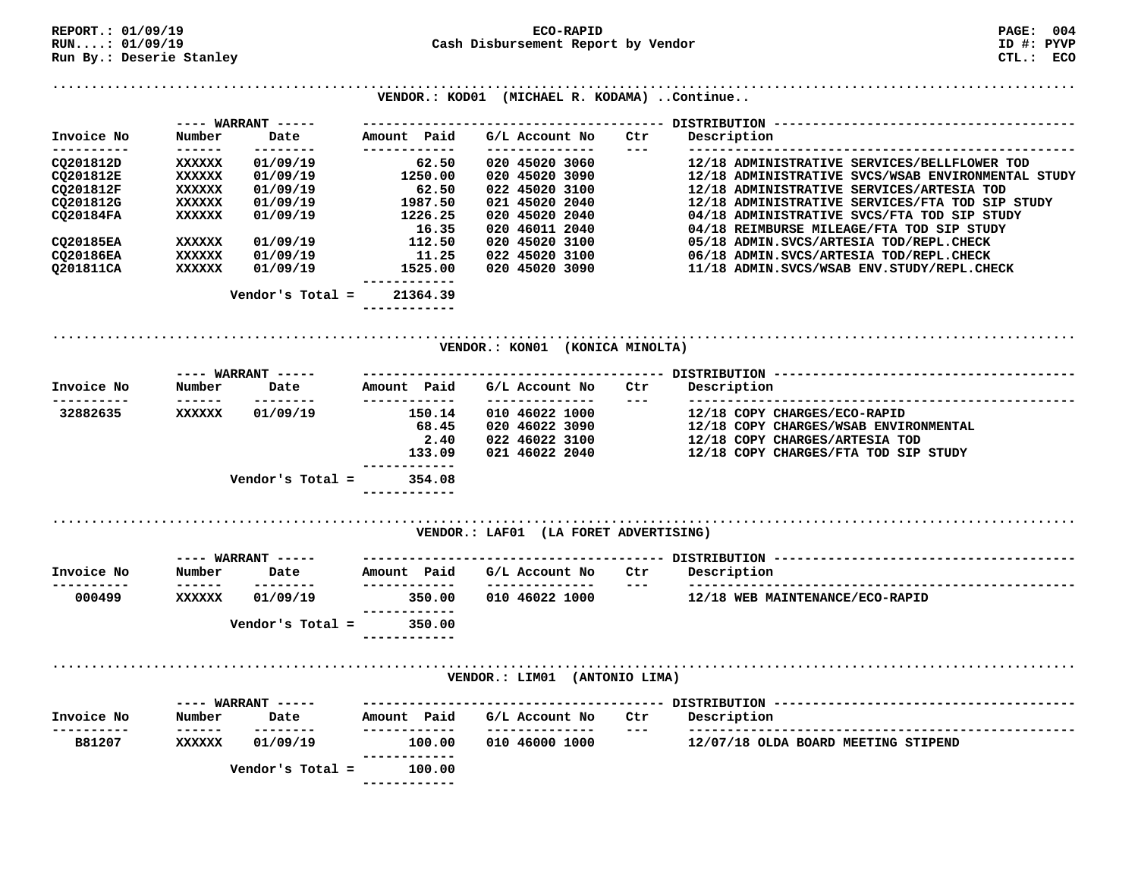| REPORT.: 01/09/19        |                   |                             |                             | ECO-RAPID                                   |                                                                                                                                                                                                                                                                                                                                                                                                     | <b>PAGE: 004</b>                                   |
|--------------------------|-------------------|-----------------------------|-----------------------------|---------------------------------------------|-----------------------------------------------------------------------------------------------------------------------------------------------------------------------------------------------------------------------------------------------------------------------------------------------------------------------------------------------------------------------------------------------------|----------------------------------------------------|
| RUN:: 01/09/19           |                   |                             |                             | Cash Disbursement Report by Vendor          |                                                                                                                                                                                                                                                                                                                                                                                                     | ID #: PYVP                                         |
| Run By.: Deserie Stanley |                   |                             |                             |                                             |                                                                                                                                                                                                                                                                                                                                                                                                     | CTL.: ECO                                          |
|                          |                   |                             |                             | VENDOR.: KOD01 (MICHAEL R. KODAMA) Continue |                                                                                                                                                                                                                                                                                                                                                                                                     |                                                    |
|                          |                   |                             |                             |                                             |                                                                                                                                                                                                                                                                                                                                                                                                     |                                                    |
| Invoice No               | Number            | $---$ WARRANT $---$<br>Date | Amount Paid                 | G/L Account No                              | Ctr                                                                                                                                                                                                                                                                                                                                                                                                 | Description                                        |
| ----------               | -------           | --------                    | ------------                | --------------                              | $---$                                                                                                                                                                                                                                                                                                                                                                                               |                                                    |
| CQ201812D                | <b>XXXXXX</b>     | 01/09/19                    | 62.50                       | 020 45020 3060                              |                                                                                                                                                                                                                                                                                                                                                                                                     | 12/18 ADMINISTRATIVE SERVICES/BELLFLOWER TOD       |
| CQ201812E                | XXXXXX            | 01/09/19                    | 1250.00                     | 020 45020 3090                              |                                                                                                                                                                                                                                                                                                                                                                                                     | 12/18 ADMINISTRATIVE SVCS/WSAB ENVIRONMENTAL STUDY |
| CQ201812F                | XXXXXX            | 01/09/19                    | 62.50                       | 022 45020 3100                              |                                                                                                                                                                                                                                                                                                                                                                                                     | 12/18 ADMINISTRATIVE SERVICES/ARTESIA TOD          |
| CQ201812G                | XXXXXX            | 01/09/19                    | 1987.50                     | 021 45020 2040                              |                                                                                                                                                                                                                                                                                                                                                                                                     | 12/18 ADMINISTRATIVE SERVICES/FTA TOD SIP STUDY    |
| CQ20184FA                | <b>XXXXXX</b>     | 01/09/19                    | 1226.25                     | 020 45020 2040                              |                                                                                                                                                                                                                                                                                                                                                                                                     | 04/18 ADMINISTRATIVE SVCS/FTA TOD SIP STUDY        |
|                          |                   |                             | 16.35                       | 020 46011 2040                              |                                                                                                                                                                                                                                                                                                                                                                                                     | 04/18 REIMBURSE MILEAGE/FTA TOD SIP STUDY          |
| CQ20185EA                | <b>XXXXXX</b>     | 01/09/19                    | 112.50                      | 020 45020 3100                              |                                                                                                                                                                                                                                                                                                                                                                                                     | 05/18 ADMIN.SVCS/ARTESIA TOD/REPL.CHECK            |
| CQ20186EA                | <b>XXXXXX</b>     | 01/09/19                    | 11.25                       | 022 45020 3100                              |                                                                                                                                                                                                                                                                                                                                                                                                     | 06/18 ADMIN.SVCS/ARTESIA TOD/REPL.CHECK            |
| Q201811CA                | <b>XXXXXX</b>     | 01/09/19                    | 1525.00                     | 020 45020 3090                              |                                                                                                                                                                                                                                                                                                                                                                                                     | 11/18 ADMIN.SVCS/WSAB ENV.STUDY/REPL.CHECK         |
|                          |                   | Vendor's Total = $21364.39$ |                             |                                             |                                                                                                                                                                                                                                                                                                                                                                                                     |                                                    |
|                          |                   |                             |                             |                                             |                                                                                                                                                                                                                                                                                                                                                                                                     |                                                    |
|                          |                   |                             |                             |                                             |                                                                                                                                                                                                                                                                                                                                                                                                     |                                                    |
|                          |                   |                             |                             | VENDOR.: KON01 (KONICA MINOLTA)             |                                                                                                                                                                                                                                                                                                                                                                                                     |                                                    |
|                          |                   |                             |                             |                                             |                                                                                                                                                                                                                                                                                                                                                                                                     |                                                    |
| Invoice No               | Number            | Date                        | Amount Paid<br>------------ | G/L Account No<br>--------------            | Ctr                                                                                                                                                                                                                                                                                                                                                                                                 | Description                                        |
| ---------<br>32882635    | XXXXXX            | --------<br>01/09/19        | 150.14                      | 010 46022 1000                              | $\frac{1}{2} \frac{1}{2} \frac{1}{2} \frac{1}{2} \frac{1}{2} \frac{1}{2} \frac{1}{2} \frac{1}{2} \frac{1}{2} \frac{1}{2} \frac{1}{2} \frac{1}{2} \frac{1}{2} \frac{1}{2} \frac{1}{2} \frac{1}{2} \frac{1}{2} \frac{1}{2} \frac{1}{2} \frac{1}{2} \frac{1}{2} \frac{1}{2} \frac{1}{2} \frac{1}{2} \frac{1}{2} \frac{1}{2} \frac{1}{2} \frac{1}{2} \frac{1}{2} \frac{1}{2} \frac{1}{2} \frac{$        | 12/18 COPY CHARGES/ECO-RAPID                       |
|                          |                   |                             | 68.45                       | 020 46022 3090                              |                                                                                                                                                                                                                                                                                                                                                                                                     | 12/18 COPY CHARGES/WSAB ENVIRONMENTAL              |
|                          |                   |                             | 2.40                        | 022 46022 3100                              |                                                                                                                                                                                                                                                                                                                                                                                                     | 12/18 COPY CHARGES/ARTESIA TOD                     |
|                          |                   |                             | 133.09                      | 021 46022 2040                              |                                                                                                                                                                                                                                                                                                                                                                                                     | 12/18 COPY CHARGES/FTA TOD SIP STUDY               |
|                          |                   |                             | -----------                 |                                             |                                                                                                                                                                                                                                                                                                                                                                                                     |                                                    |
|                          |                   | Vendor's Total =            | 354.08                      |                                             |                                                                                                                                                                                                                                                                                                                                                                                                     |                                                    |
|                          |                   |                             |                             |                                             |                                                                                                                                                                                                                                                                                                                                                                                                     |                                                    |
|                          |                   |                             |                             | VENDOR.: LAF01 (LA FORET ADVERTISING)       |                                                                                                                                                                                                                                                                                                                                                                                                     |                                                    |
|                          |                   |                             |                             |                                             |                                                                                                                                                                                                                                                                                                                                                                                                     |                                                    |
| Invoice No<br>---------- | Number<br>------- | Date<br>--------            | Amount Paid                 | G/L Account No<br>_______________           | Ctr<br>$\frac{1}{2} \frac{1}{2} \frac{1}{2} \frac{1}{2} \frac{1}{2} \frac{1}{2} \frac{1}{2} \frac{1}{2} \frac{1}{2} \frac{1}{2} \frac{1}{2} \frac{1}{2} \frac{1}{2} \frac{1}{2} \frac{1}{2} \frac{1}{2} \frac{1}{2} \frac{1}{2} \frac{1}{2} \frac{1}{2} \frac{1}{2} \frac{1}{2} \frac{1}{2} \frac{1}{2} \frac{1}{2} \frac{1}{2} \frac{1}{2} \frac{1}{2} \frac{1}{2} \frac{1}{2} \frac{1}{2} \frac{$ | Description                                        |
| 000499                   | XXXXXX            | 01/09/19                    | 350.00                      | 010 46022 1000                              |                                                                                                                                                                                                                                                                                                                                                                                                     | 12/18 WEB MAINTENANCE/ECO-RAPID                    |
|                          |                   |                             | ------------                |                                             |                                                                                                                                                                                                                                                                                                                                                                                                     |                                                    |
|                          |                   | Vendor's Total $=$          | 350.00                      |                                             |                                                                                                                                                                                                                                                                                                                                                                                                     |                                                    |
|                          |                   |                             |                             |                                             |                                                                                                                                                                                                                                                                                                                                                                                                     |                                                    |
|                          |                   |                             |                             | VENDOR.: LIMO1 (ANTONIO LIMA)               |                                                                                                                                                                                                                                                                                                                                                                                                     |                                                    |
|                          |                   | $---$ WARRANT $---$         |                             |                                             |                                                                                                                                                                                                                                                                                                                                                                                                     |                                                    |
| Invoice No               | Number            | Date                        | Amount Paid                 | G/L Account No                              | Ctr                                                                                                                                                                                                                                                                                                                                                                                                 | Description                                        |
|                          | ------            | --------                    | -------                     | --------------                              | $---$                                                                                                                                                                                                                                                                                                                                                                                               |                                                    |
| B81207                   | <b>XXXXXX</b>     | 01/09/19                    | 100.00<br>-------           | 010 46000 1000                              |                                                                                                                                                                                                                                                                                                                                                                                                     | 12/07/18 OLDA BOARD MEETING STIPEND                |
|                          |                   | Vendor's Total =            | 100.00                      |                                             |                                                                                                                                                                                                                                                                                                                                                                                                     |                                                    |
|                          |                   |                             | ------------                |                                             |                                                                                                                                                                                                                                                                                                                                                                                                     |                                                    |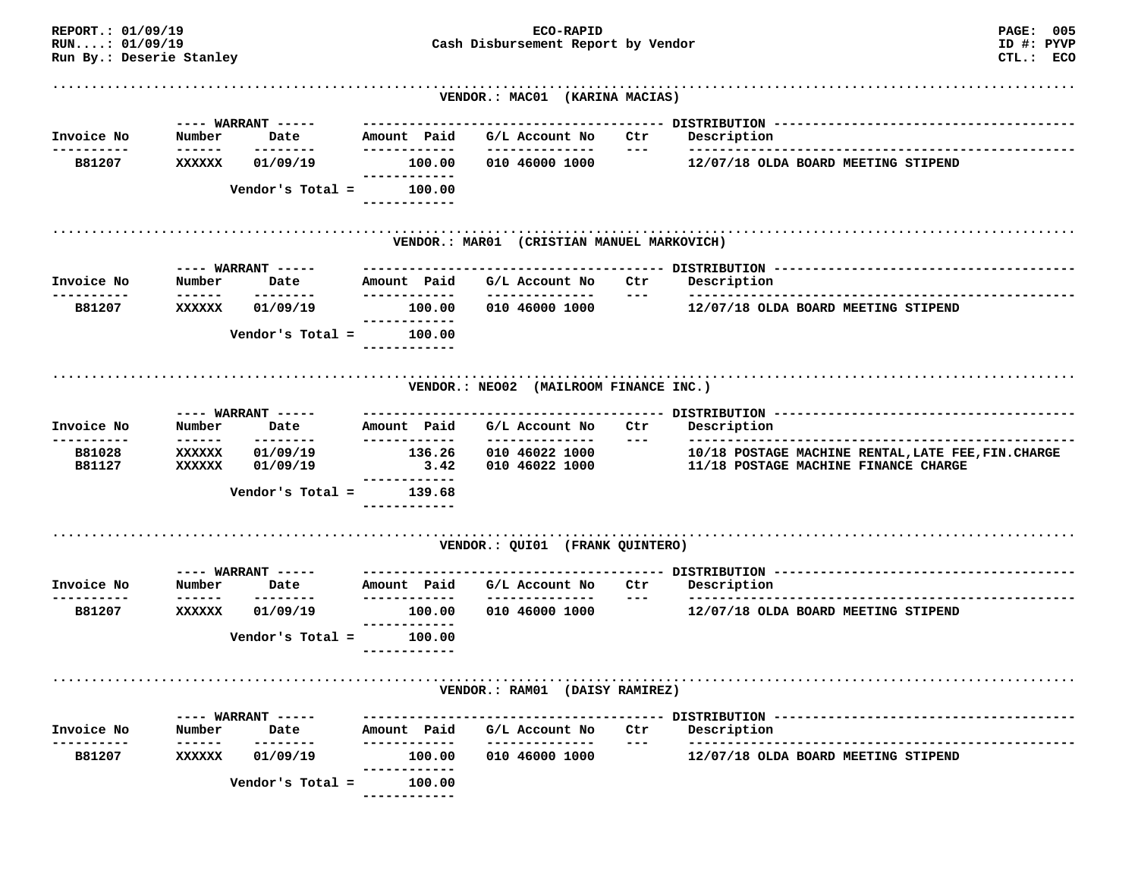| REPORT.: 01/09/19<br>RUN: 01/09/19<br>Run By.: Deserie Stanley |                  |                                        |                                | <b>PAGE: 005</b><br>ID #: PYVP<br>Cash Disbursement Report by Vendor<br>CTL.: ECO |                                                 |                      |                                                                                             |
|----------------------------------------------------------------|------------------|----------------------------------------|--------------------------------|-----------------------------------------------------------------------------------|-------------------------------------------------|----------------------|---------------------------------------------------------------------------------------------|
|                                                                |                  |                                        |                                |                                                                                   | VENDOR.: MAC01 (KARINA MACIAS)                  |                      |                                                                                             |
|                                                                |                  |                                        |                                |                                                                                   |                                                 |                      |                                                                                             |
| Invoice No<br>----------                                       | Number           | Date<br>--------                       | Amount Paid<br>------------    |                                                                                   | G/L Account No<br>--------------                | Ctr<br>$---$         | Description                                                                                 |
| B81207                                                         | XXXXXX           | 01/09/19                               | . <u>- - - - - - - - - -</u> - | 100.00                                                                            | 010 46000 1000                                  |                      | 12/07/18 OLDA BOARD MEETING STIPEND                                                         |
|                                                                |                  | Vendor's Total =                       | ------------                   | 100.00                                                                            |                                                 |                      |                                                                                             |
|                                                                |                  |                                        |                                |                                                                                   | VENDOR.: MAR01 (CRISTIAN MANUEL MARKOVICH)      |                      |                                                                                             |
|                                                                |                  | ---- WARRANT -----                     |                                |                                                                                   |                                                 |                      |                                                                                             |
| Invoice No<br>. _ _ _ _ _ _ _ _                                | Number           | Date<br>--------                       | Amount Paid<br>------------    |                                                                                   | G/L Account No<br>--------------                | Ctr<br>$---$         | Description                                                                                 |
| B81207                                                         | <b>XXXXXX</b>    | 01/09/19                               | ------------                   | 100.00                                                                            | 010 46000 1000                                  |                      | 12/07/18 OLDA BOARD MEETING STIPEND                                                         |
|                                                                |                  | Vendor's Total =                       |                                | 100.00                                                                            |                                                 |                      |                                                                                             |
|                                                                |                  |                                        |                                |                                                                                   | VENDOR.: NEO02 (MAILROOM FINANCE INC.)          |                      |                                                                                             |
|                                                                |                  |                                        |                                |                                                                                   |                                                 |                      |                                                                                             |
| Invoice No                                                     | Number           | Date<br>--------                       | Amount Paid<br>-------------   |                                                                                   | G/L Account No<br>---------------               | Ctr<br>$\frac{1}{2}$ | Description                                                                                 |
| B81028<br>B81127                                               | XXXXXX<br>XXXXXX | 01/09/19<br>01/09/19                   |                                | 136.26<br>3.42                                                                    | 010 46022 1000<br>010 46022 1000                |                      | 10/18 POSTAGE MACHINE RENTAL, LATE FEE, FIN. CHARGE<br>11/18 POSTAGE MACHINE FINANCE CHARGE |
|                                                                |                  | Vendor's $Total =$                     | -----------<br>------------    | 139.68                                                                            |                                                 |                      |                                                                                             |
|                                                                |                  |                                        |                                |                                                                                   | VENDOR.: QUI01 (FRANK QUINTERO)                 |                      |                                                                                             |
|                                                                |                  |                                        |                                |                                                                                   |                                                 |                      |                                                                                             |
| Invoice No                                                     | Number<br>------ | ---- WARRANT -----<br>Date<br>-------- | Amount Paid<br>------------    |                                                                                   | G/L Account No<br><u>Liste de les de les de</u> | Ctr<br>$---$         | Description<br>-----------------                                                            |
| B81207                                                         | XXXXXX           | 01/09/19                               | ------------                   | 100.00                                                                            | 010 46000 1000                                  |                      | 12/07/18 OLDA BOARD MEETING STIPEND                                                         |
|                                                                |                  | Vendor's Total =                       | ------------                   | 100.00                                                                            |                                                 |                      |                                                                                             |
|                                                                |                  |                                        |                                |                                                                                   | VENDOR.: RAM01 (DAISY RAMIREZ)                  |                      |                                                                                             |
|                                                                |                  | $---$ WARRANT $---$                    |                                |                                                                                   |                                                 |                      |                                                                                             |
| Invoice No                                                     | Number           | Date                                   | Amount Paid                    |                                                                                   | G/L Account No                                  | Ctr                  | Description                                                                                 |
| B81207                                                         | ------<br>XXXXXX | .<br>01/09/19                          |                                | --------<br>100.00<br>-------                                                     | 010 46000 1000                                  | $---$                | 12/07/18 OLDA BOARD MEETING STIPEND                                                         |
|                                                                |                  | Vendor's Total =                       | ------------                   | 100.00                                                                            |                                                 |                      |                                                                                             |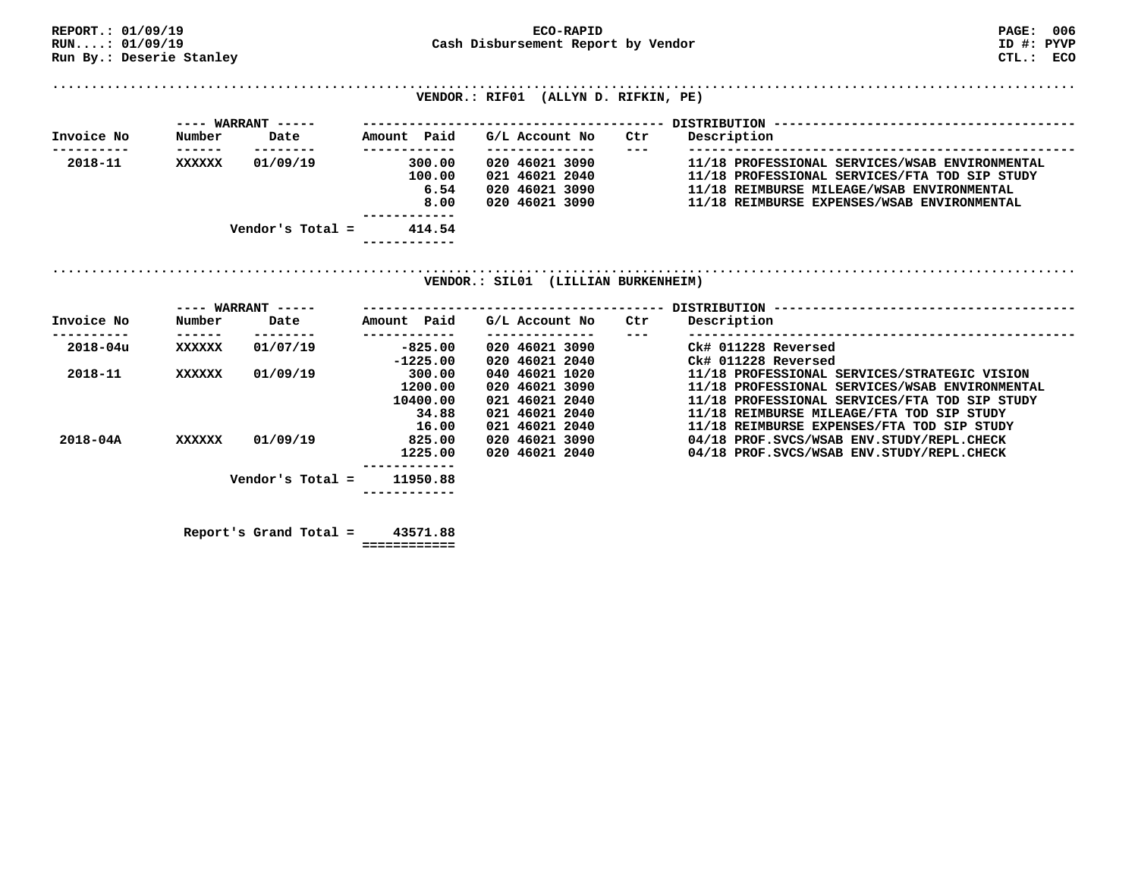| REPORT.: 01/09/19        |        |                             |                        | ECO-RAPID                                             |                     | <b>PAGE: 006</b>                               |
|--------------------------|--------|-----------------------------|------------------------|-------------------------------------------------------|---------------------|------------------------------------------------|
| RUN:: 01/09/19           |        |                             |                        | Cash Disbursement Report by Vendor<br>ID #: PYVP      |                     |                                                |
| Run By.: Deserie Stanley |        |                             |                        |                                                       |                     | CTL.: ECO                                      |
|                          |        |                             |                        |                                                       |                     |                                                |
|                          |        |                             |                        |                                                       |                     |                                                |
|                          |        |                             |                        | VENDOR.: RIF01 (ALLYN D. RIFKIN, PE)                  |                     |                                                |
|                          |        | $---$ WARRANT $---$         |                        |                                                       |                     |                                                |
| Invoice No               | Number | Date                        | Amount Paid            | G/L Account No                                        | Ctr                 | Description                                    |
| 2018-11                  | XXXXXX | --------<br>01/09/19        | ------------<br>300.00 | --------------<br>020 46021 3090                      | $\qquad \qquad - -$ | 11/18 PROFESSIONAL SERVICES/WSAB ENVIRONMENTAL |
|                          |        |                             | 100.00                 | 021 46021 2040                                        |                     | 11/18 PROFESSIONAL SERVICES/FTA TOD SIP STUDY  |
|                          |        |                             | 6.54                   | 020 46021 3090                                        |                     | 11/18 REIMBURSE MILEAGE/WSAB ENVIRONMENTAL     |
|                          |        |                             | 8.00                   | 020 46021 3090                                        |                     | 11/18 REIMBURSE EXPENSES/WSAB ENVIRONMENTAL    |
|                          |        |                             |                        |                                                       |                     |                                                |
|                          |        | Vendor's Total =            | 414.54                 |                                                       |                     |                                                |
|                          |        |                             | ------------           |                                                       |                     |                                                |
| Invoice No               | Number | $---$ WARRANT $---$<br>Date | Amount Paid            | VENDOR.: SIL01 (LILLIAN BURKENHEIM)<br>G/L Account No | Ctr                 | Description                                    |
| ---------                | ------ | --------                    | ------------           | --------------                                        | $---$               |                                                |
| 2018-04u                 | XXXXXX | 01/07/19                    | $-825.00$              | 020 46021 3090                                        |                     | Ck# 011228 Reversed                            |
|                          |        |                             | $-1225.00$             | 020 46021 2040                                        |                     | Ck# 011228 Reversed                            |
| 2018-11                  | XXXXXX | 01/09/19                    | 300.00                 | 040 46021 1020                                        |                     | 11/18 PROFESSIONAL SERVICES/STRATEGIC VISION   |
|                          |        |                             | 1200.00                | 020 46021 3090                                        |                     | 11/18 PROFESSIONAL SERVICES/WSAB ENVIRONMENTAL |
|                          |        |                             | 10400.00               | 021 46021 2040                                        |                     | 11/18 PROFESSIONAL SERVICES/FTA TOD SIP STUDY  |
|                          |        |                             | 34.88                  | 021 46021 2040                                        |                     | 11/18 REIMBURSE MILEAGE/FTA TOD SIP STUDY      |
|                          |        |                             | 16.00                  | 021 46021 2040                                        |                     | 11/18 REIMBURSE EXPENSES/FTA TOD SIP STUDY     |
| $2018 - 04A$             | XXXXXX |                             | 825.00                 | 020 46021 3090                                        |                     |                                                |
|                          |        | 01/09/19                    |                        |                                                       |                     | 04/18 PROF.SVCS/WSAB ENV.STUDY/REPL.CHECK      |
|                          |        |                             | 1225.00                | 020 46021 2040                                        |                     | 04/18 PROF.SVCS/WSAB ENV.STUDY/REPL.CHECK      |
|                          |        |                             | ------------           |                                                       |                     |                                                |
|                          |        | Vendor's Total $=$          | 11950.88               |                                                       |                     |                                                |
|                          |        |                             |                        |                                                       |                     |                                                |
|                          |        |                             |                        |                                                       |                     |                                                |

 **Report's Grand Total = 43571.88** 

 **============**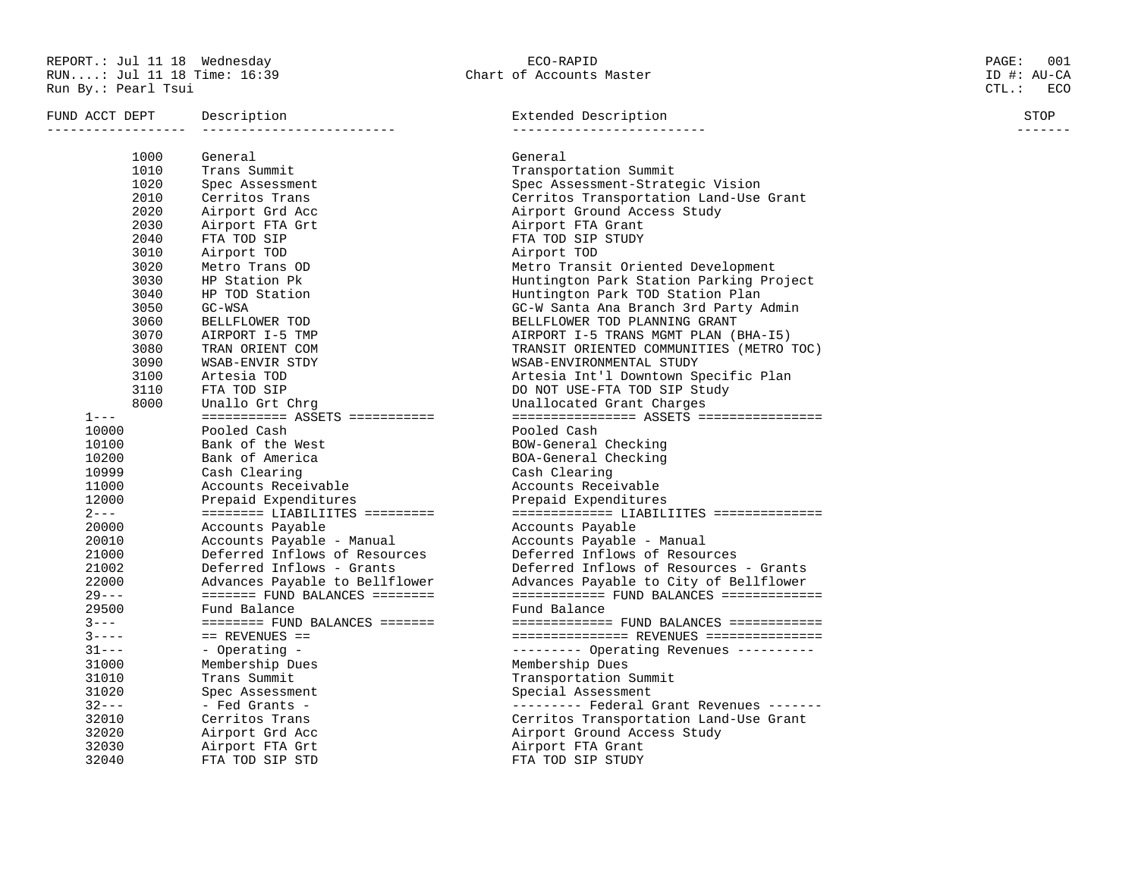REPORT.: Jul 11 18 Wednesday ECO-RAPID PAGE: 001 RUN....: Jul 11 18 Time: 16:39 Chart of Accounts Master ID #: AU-CA Run By.: Pearl Tsui CTL.: ECO

| FUND ACCT DEPT | Description                                        | Extended Description                                      | STOP<br>------- |  |  |
|----------------|----------------------------------------------------|-----------------------------------------------------------|-----------------|--|--|
|                |                                                    |                                                           |                 |  |  |
| 1000           | General                                            | General                                                   |                 |  |  |
| 1010           | Trans Summit                                       | Transportation Summit                                     |                 |  |  |
| 1020<br>2010   | Spec Assessment                                    | Spec Assessment-Strategic Vision                          |                 |  |  |
|                | Cerritos Trans                                     | Cerritos Transportation Land-Use Grant                    |                 |  |  |
| 2020           | Airport Grd Acc                                    | Airport Ground Access Study                               |                 |  |  |
| 2030           | Airport FTA Grt                                    | Airport FTA Grant                                         |                 |  |  |
| 2040           | FTA TOD SIP                                        | FTA TOD SIP STUDY                                         |                 |  |  |
| 3010<br>3020   | Airport TOD                                        | Airport TOD                                               |                 |  |  |
|                | Metro Trans OD                                     | Metro Transit Oriented Development                        |                 |  |  |
| 3030           | HP Station Pk                                      | Huntington Park Station Parking Project                   |                 |  |  |
| 3040           | HP TOD Station                                     | Huntington Park TOD Station Plan                          |                 |  |  |
| 3050<br>3060   | GC-WSA                                             | GC-W Santa Ana Branch 3rd Party Admin                     |                 |  |  |
| 3070           | BELLFLOWER TOD                                     | BELLFLOWER TOD PLANNING GRANT                             |                 |  |  |
| 3080           | AIRPORT I-5 TMP                                    | AIRPORT I-5 TRANS MGMT PLAN (BHA-I5)                      |                 |  |  |
|                | TRAN ORIENT COM                                    | TRANSIT ORIENTED COMMUNITIES (METRO TOC)                  |                 |  |  |
| 3090<br>3100   | WSAB-ENVIR STDY                                    | WSAB-ENVIRONMENTAL STUDY                                  |                 |  |  |
| 3110           | Artesia TOD                                        | Artesia Int'l Downtown Specific Plan                      |                 |  |  |
| 8000           | FTA TOD SIP<br>Unallo Grt Chrq                     | DO NOT USE-FTA TOD SIP Study<br>Unallocated Grant Charges |                 |  |  |
| $1 - - -$      | $=$ = = = = = = = = = ASSETS = = = = = = = = = = = |                                                           |                 |  |  |
| 10000          | Pooled Cash                                        | Pooled Cash                                               |                 |  |  |
| 10100          | Bank of the West                                   | BOW-General Checking                                      |                 |  |  |
| 10200          | Bank of America                                    | BOA-General Checking                                      |                 |  |  |
| 10999          | Cash Clearing                                      | Cash Clearing                                             |                 |  |  |
| 11000          | Accounts Receivable                                | Accounts Receivable                                       |                 |  |  |
| 12000          | Prepaid Expenditures                               | Prepaid Expenditures                                      |                 |  |  |
| $2 - - -$      |                                                    |                                                           |                 |  |  |
| 20000          | Accounts Payable                                   | Accounts Payable                                          |                 |  |  |
| 20010          | Accounts Payable - Manual                          | Accounts Payable - Manual                                 |                 |  |  |
| 21000          | Deferred Inflows of Resources                      | Deferred Inflows of Resources                             |                 |  |  |
| 21002          | Deferred Inflows - Grants                          | Deferred Inflows of Resources - Grants                    |                 |  |  |
| 22000          | Advances Payable to Bellflower                     | Advances Payable to City of Bellflower                    |                 |  |  |
| $29 - - -$     | $==== ==$ FUND BALANCES ========                   |                                                           |                 |  |  |
| 29500          | Fund Balance                                       | Fund Balance                                              |                 |  |  |
| $3 - - -$      | $======$ FUND BALANCES =======                     | ============= FUND BALANCES ============                  |                 |  |  |
| $3 - - - -$    | $==$ REVENUES $==$                                 | =============== REVENUES ===============                  |                 |  |  |
| $31--$         | - Operating -                                      | --------- Operating Revenues ----------                   |                 |  |  |
| 31000          | Membership Dues                                    | Membership Dues                                           |                 |  |  |
| 31010          | Trans Summit                                       | Transportation Summit                                     |                 |  |  |
| 31020          | Spec Assessment                                    | Special Assessment                                        |                 |  |  |
| $32--$         | - Fed Grants -                                     | --------- Federal Grant Revenues -------                  |                 |  |  |
| 32010          | Cerritos Trans                                     | Cerritos Transportation Land-Use Grant                    |                 |  |  |
| 32020          | Airport Grd Acc                                    | Airport Ground Access Study                               |                 |  |  |
| 32030          | Airport FTA Grt                                    | Airport FTA Grant                                         |                 |  |  |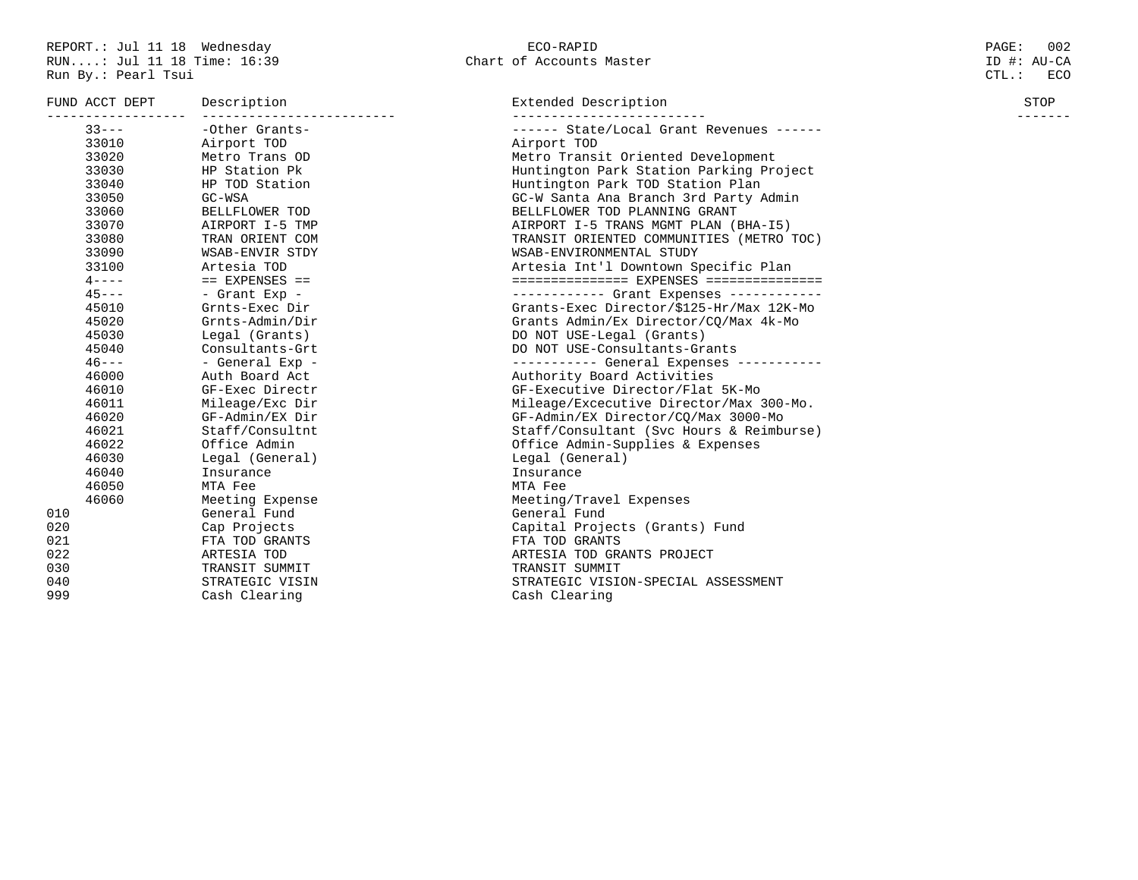|  | ECO-RAPID                |  |
|--|--------------------------|--|
|  | Chart of Accounts Master |  |

| FUND ACCT DEPT | Description        | Extended Description                               | STOP |  |  |
|----------------|--------------------|----------------------------------------------------|------|--|--|
| $33 - - -$     | -Other Grants-     | ------ State/Local Grant Revenues ------           |      |  |  |
| 33010          | Airport TOD        | Airport TOD                                        |      |  |  |
| 33020          | Metro Trans OD     | Metro Transit Oriented Development                 |      |  |  |
| 33030          | HP Station Pk      | Huntington Park Station Parking Project            |      |  |  |
| 33040          | HP TOD Station     | Huntington Park TOD Station Plan                   |      |  |  |
| 33050          | GC-WSA             | GC-W Santa Ana Branch 3rd Party Admin              |      |  |  |
| 33060          | BELLFLOWER TOD     | BELLFLOWER TOD PLANNING GRANT                      |      |  |  |
| 33070          | AIRPORT I-5 TMP    | AIRPORT I-5 TRANS MGMT PLAN (BHA-I5)               |      |  |  |
| 33080          | TRAN ORIENT COM    | TRANSIT ORIENTED COMMUNITIES (METRO TOC)           |      |  |  |
| 33090          | WSAB-ENVIR STDY    | WSAB-ENVIRONMENTAL STUDY                           |      |  |  |
| 33100          | Artesia TOD        | Artesia Int'l Downtown Specific Plan               |      |  |  |
| $4 - - - -$    | $==$ EXPENSES $==$ | $\equiv$ =============== EXPENSES ================ |      |  |  |
| $45 - - -$     | - Grant Exp -      | ----------- Grant Expenses ------------            |      |  |  |
| 45010          | Grnts-Exec Dir     | Grants-Exec Director/\$125-Hr/Max 12K-Mo           |      |  |  |
| 45020          | Grnts-Admin/Dir    | Grants Admin/Ex Director/CQ/Max 4k-Mo              |      |  |  |
| 45030          | Legal (Grants)     | DO NOT USE-Legal (Grants)                          |      |  |  |
| 45040          | Consultants-Grt    | DO NOT USE-Consultants-Grants                      |      |  |  |
| $46 - - -$     | - General Exp -    | ----------- General Expenses -----------           |      |  |  |
| 46000          | Auth Board Act     | Authority Board Activities                         |      |  |  |
| 46010          | GF-Exec Directr    | GF-Executive Director/Flat 5K-Mo                   |      |  |  |
| 46011          | Mileage/Exc Dir    | Mileage/Excecutive Director/Max 300-Mo.            |      |  |  |
| 46020          | GF-Admin/EX Dir    | GF-Admin/EX Director/CQ/Max 3000-Mo                |      |  |  |
| 46021          | Staff/Consultnt    | Staff/Consultant (Svc Hours & Reimburse)           |      |  |  |
| 46022          | Office Admin       | Office Admin-Supplies & Expenses                   |      |  |  |
| 46030          | Legal (General)    | Legal (General)                                    |      |  |  |
| 46040          | Insurance          | Insurance                                          |      |  |  |
| 46050          | MTA Fee            | MTA Fee                                            |      |  |  |
| 46060          | Meeting Expense    | Meeting/Travel Expenses                            |      |  |  |
| 010            | General Fund       | General Fund                                       |      |  |  |
| 020            | Cap Projects       | Capital Projects (Grants) Fund                     |      |  |  |
| 021            | FTA TOD GRANTS     | FTA TOD GRANTS                                     |      |  |  |
| 022            | ARTESIA TOD        | ARTESIA TOD GRANTS PROJECT                         |      |  |  |
| 030            | TRANSIT SUMMIT     | TRANSIT SUMMIT                                     |      |  |  |
| 040            | STRATEGIC VISIN    | STRATEGIC VISION-SPECIAL ASSESSMENT                |      |  |  |
| 999            | Cash Clearing      | Cash Clearing                                      |      |  |  |